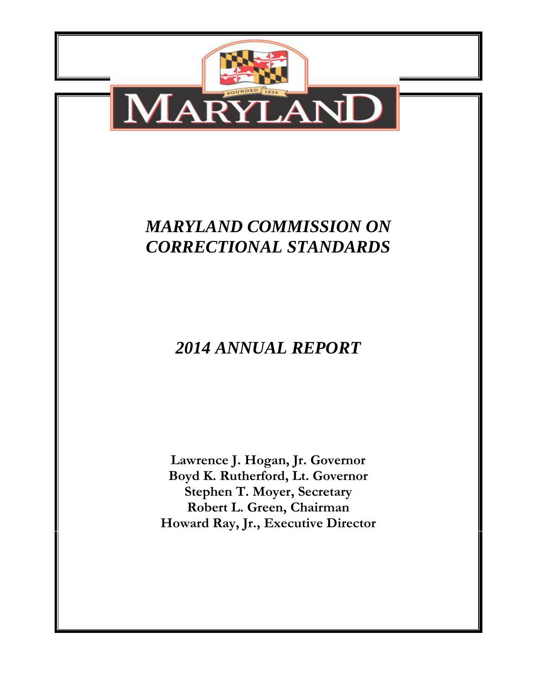

# *MARYLAND COMMISSION ON CORRECTIONAL STANDARDS*

# *2014 ANNUAL REPORT*

**Lawrence J. Hogan, Jr. Governor Boyd K. Rutherford, Lt. Governor Stephen T. Moyer, Secretary Robert L. Green, Chairman Howard Ray, Jr., Executive Director**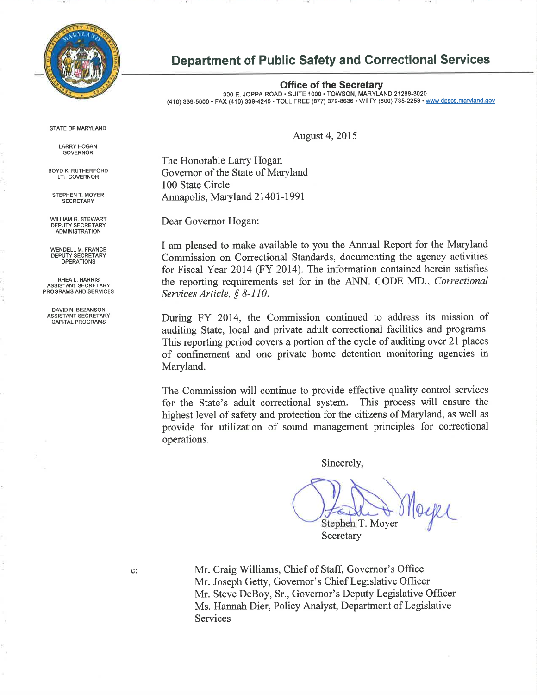

## **Department of Public Safety and Correctional Services**

**Office of the Secretary** 300 E. JOPPA ROAD · SUITE 1000 · TOWSON, MARYLAND 21286-3020 (410) 339-5000 · FAX (410) 339-4240 · TOLL FREE (877) 379-8636 · V/TTY (800) 735-2258 · www.dpscs.maryland.gov

**STATE OF MARYLAND** 

**LARRY HOGAN GOVERNOR** 

**BOYD K. RUTHERFORD** LT: GOVERNOR

STEPHEN T. MOYER **SECRETARY** 

WILLIAM G. STEWART DEPUTY SECRETARY **ADMINISTRATION** 

WENDELL M. FRANCE<br>DEPUTY SECRETARY **OPERATIONS** 

RHEAL HARRIS ASSISTANT SECRETARY PROGRAMS AND SERVICES

DAVID N. BEZANSON<br>ASSISTANT SECRETARY CAPITAL PROGRAMS

**August 4, 2015** 

The Honorable Larry Hogan Governor of the State of Maryland 100 State Circle Annapolis, Maryland 21401-1991

Dear Governor Hogan:

I am pleased to make available to you the Annual Report for the Maryland Commission on Correctional Standards, documenting the agency activities for Fiscal Year 2014 (FY 2014). The information contained herein satisfies the reporting requirements set for in the ANN. CODE MD., Correctional Services Article, § 8-110.

During FY 2014, the Commission continued to address its mission of auditing State, local and private adult correctional facilities and programs. This reporting period covers a portion of the cycle of auditing over 21 places of confinement and one private home detention monitoring agencies in Maryland.

The Commission will continue to provide effective quality control services for the State's adult correctional system. This process will ensure the highest level of safety and protection for the citizens of Maryland, as well as provide for utilization of sound management principles for correctional operations.

Sincerely,

Stephen T. Moyer Secretary

Mr. Craig Williams, Chief of Staff, Governor's Office Mr. Joseph Getty, Governor's Chief Legislative Officer Mr. Steve DeBoy, Sr., Governor's Deputy Legislative Officer Ms. Hannah Dier, Policy Analyst, Department of Legislative **Services**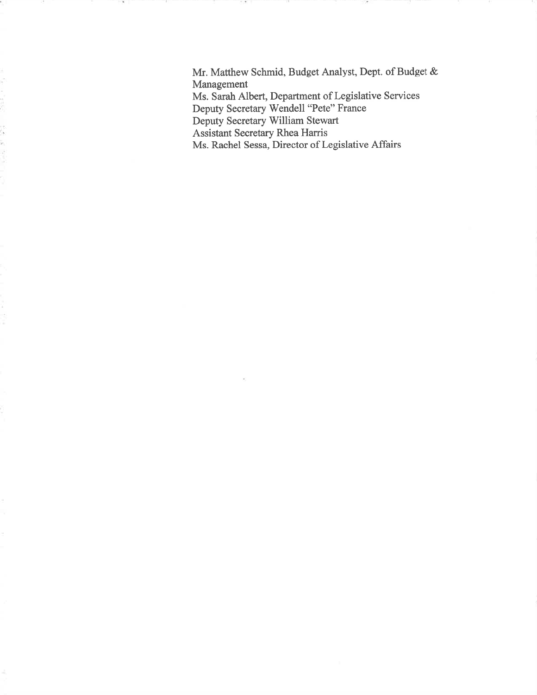Mr. Matthew Schmid, Budget Analyst, Dept. of Budget & Management Ms. Sarah Albert, Department of Legislative Services Deputy Secretary Wendell "Pete" France Deputy Secretary William Stewart Assistant Secretary Rhea Harris Ms. Rachel Sessa, Director of Legislative Affairs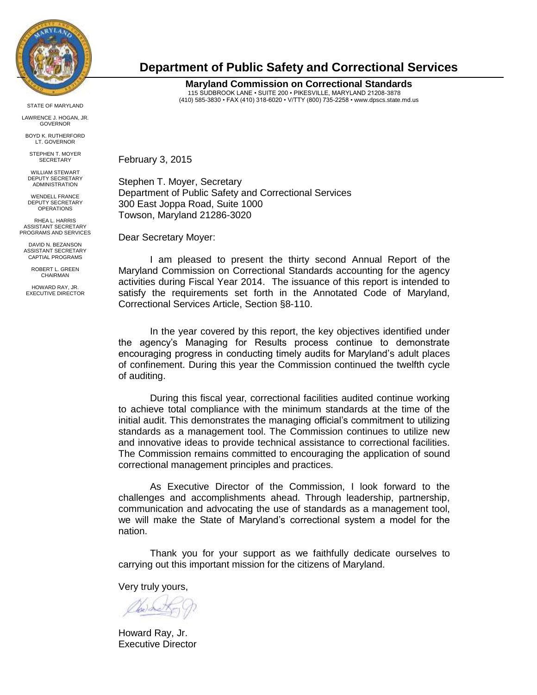

STATE OF MARYLAND

LAWRENCE J. HOGAN, JR. GOVERNOR

BOYD K. RUTHERFORD LT. GOVERNOR

STEPHEN T. MOYER **SECRETARY** 

WILLIAM STEWART DEPUTY SECRETARY ADMINISTRATION

WENDELL FRANCE DEPUTY SECRETARY OPERATIONS

RHEA L. HARRIS ASSISTANT SECRETARY PROGRAMS AND SERVICES

DAVID N. BEZANSON ASSISTANT SECRETARY CAPTIAL PROGRAMS

> ROBERT L. GREEN CHAIRMAN

HOWARD RAY, JR. EXECUTIVE DIRECTOR

## **Department of Public Safety and Correctional Services**

**Maryland Commission on Correctional Standards** 115 SUDBROOK LANE • SUITE 200 • PIKESVILLE, MARYLAND 21208-3878 (410) 585-3830 • FAX (410) 318-6020 • V/TTY (800) 735-2258 • www.dpscs.state.md.us

February 3, 2015

Stephen T. Moyer, Secretary Department of Public Safety and Correctional Services 300 East Joppa Road, Suite 1000 Towson, Maryland 21286-3020

Dear Secretary Moyer:

I am pleased to present the thirty second Annual Report of the Maryland Commission on Correctional Standards accounting for the agency activities during Fiscal Year 2014. The issuance of this report is intended to satisfy the requirements set forth in the Annotated Code of Maryland, Correctional Services Article, Section §8-110.

In the year covered by this report, the key objectives identified under the agency's Managing for Results process continue to demonstrate encouraging progress in conducting timely audits for Maryland's adult places of confinement. During this year the Commission continued the twelfth cycle of auditing.

During this fiscal year, correctional facilities audited continue working to achieve total compliance with the minimum standards at the time of the initial audit. This demonstrates the managing official's commitment to utilizing standards as a management tool. The Commission continues to utilize new and innovative ideas to provide technical assistance to correctional facilities. The Commission remains committed to encouraging the application of sound correctional management principles and practices.

As Executive Director of the Commission, I look forward to the challenges and accomplishments ahead. Through leadership, partnership, communication and advocating the use of standards as a management tool, we will make the State of Maryland's correctional system a model for the nation.

Thank you for your support as we faithfully dedicate ourselves to carrying out this important mission for the citizens of Maryland.

Very truly yours,

Obediet

Howard Ray, Jr. Executive Director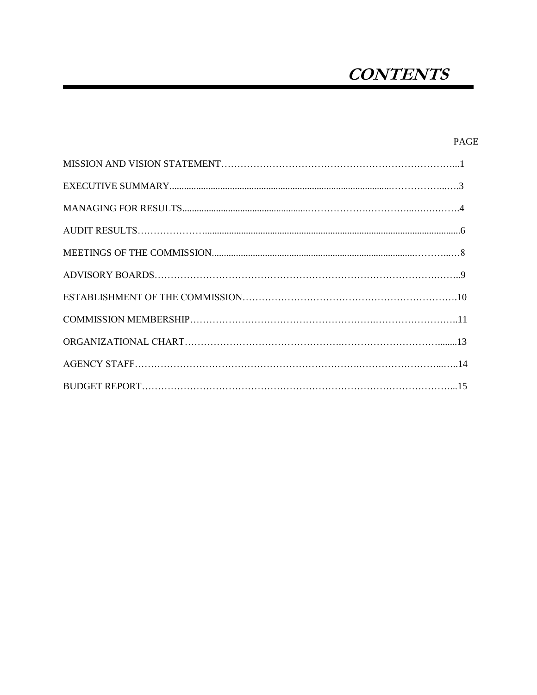# **CONTENTS**

PAGE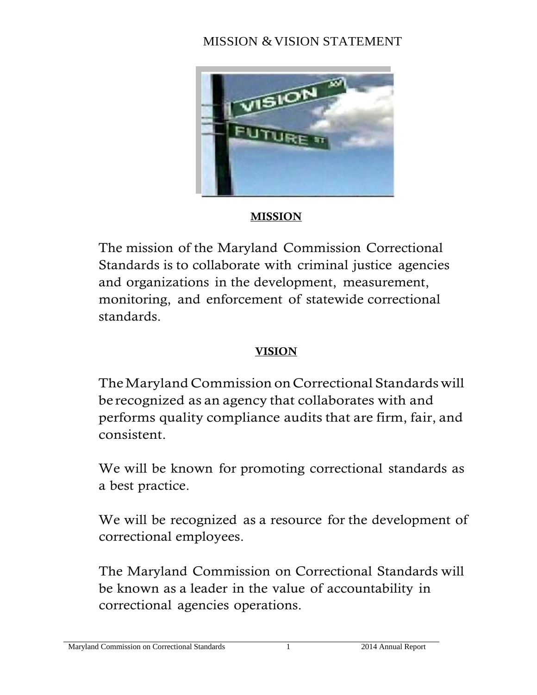# MISSION & VISION STATEMENT



# **MISSION**

The mission of the Maryland Commission Correctional Standards is to collaborate with criminal justice agencies and organizations in the development, measurement, monitoring, and enforcement of statewide correctional standards.

# **VISION**

The Maryland Commission on Correctional Standards will be recognized as an agency that collaborates with and performs quality compliance audits that are firm, fair, and consistent.

We will be known for promoting correctional standards as a best practice.

We will be recognized as a resource for the development of correctional employees.

The Maryland Commission on Correctional Standards will be known as a leader in the value of accountability in correctional agencies operations.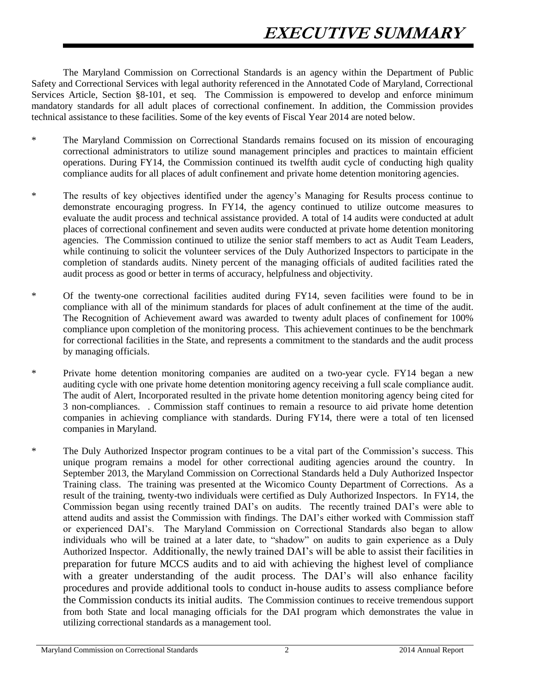The Maryland Commission on Correctional Standards is an agency within the Department of Public Safety and Correctional Services with legal authority referenced in the Annotated Code of Maryland, Correctional Services Article, Section §8-101, et seq. The Commission is empowered to develop and enforce minimum mandatory standards for all adult places of correctional confinement. In addition, the Commission provides technical assistance to these facilities. Some of the key events of Fiscal Year 2014 are noted below.

- \* The Maryland Commission on Correctional Standards remains focused on its mission of encouraging correctional administrators to utilize sound management principles and practices to maintain efficient operations. During FY14, the Commission continued its twelfth audit cycle of conducting high quality compliance audits for all places of adult confinement and private home detention monitoring agencies.
- \* The results of key objectives identified under the agency's Managing for Results process continue to demonstrate encouraging progress. In FY14, the agency continued to utilize outcome measures to evaluate the audit process and technical assistance provided. A total of 14 audits were conducted at adult places of correctional confinement and seven audits were conducted at private home detention monitoring agencies. The Commission continued to utilize the senior staff members to act as Audit Team Leaders, while continuing to solicit the volunteer services of the Duly Authorized Inspectors to participate in the completion of standards audits. Ninety percent of the managing officials of audited facilities rated the audit process as good or better in terms of accuracy, helpfulness and objectivity.
- \* Of the twenty-one correctional facilities audited during FY14, seven facilities were found to be in compliance with all of the minimum standards for places of adult confinement at the time of the audit. The Recognition of Achievement award was awarded to twenty adult places of confinement for 100% compliance upon completion of the monitoring process. This achievement continues to be the benchmark for correctional facilities in the State, and represents a commitment to the standards and the audit process by managing officials.
- \* Private home detention monitoring companies are audited on a two-year cycle. FY14 began a new auditing cycle with one private home detention monitoring agency receiving a full scale compliance audit. The audit of Alert, Incorporated resulted in the private home detention monitoring agency being cited for 3 non-compliances. . Commission staff continues to remain a resource to aid private home detention companies in achieving compliance with standards. During FY14, there were a total of ten licensed companies in Maryland.
- \* The Duly Authorized Inspector program continues to be a vital part of the Commission's success. This unique program remains a model for other correctional auditing agencies around the country. In September 2013, the Maryland Commission on Correctional Standards held a Duly Authorized Inspector Training class. The training was presented at the Wicomico County Department of Corrections. As a result of the training, twenty-two individuals were certified as Duly Authorized Inspectors. In FY14, the Commission began using recently trained DAI's on audits. The recently trained DAI's were able to attend audits and assist the Commission with findings. The DAI's either worked with Commission staff or experienced DAI's. The Maryland Commission on Correctional Standards also began to allow individuals who will be trained at a later date, to "shadow" on audits to gain experience as a Duly Authorized Inspector. Additionally, the newly trained DAI's will be able to assist their facilities in preparation for future MCCS audits and to aid with achieving the highest level of compliance with a greater understanding of the audit process. The DAI's will also enhance facility procedures and provide additional tools to conduct in-house audits to assess compliance before the Commission conducts its initial audits. The Commission continues to receive tremendous support from both State and local managing officials for the DAI program which demonstrates the value in utilizing correctional standards as a management tool.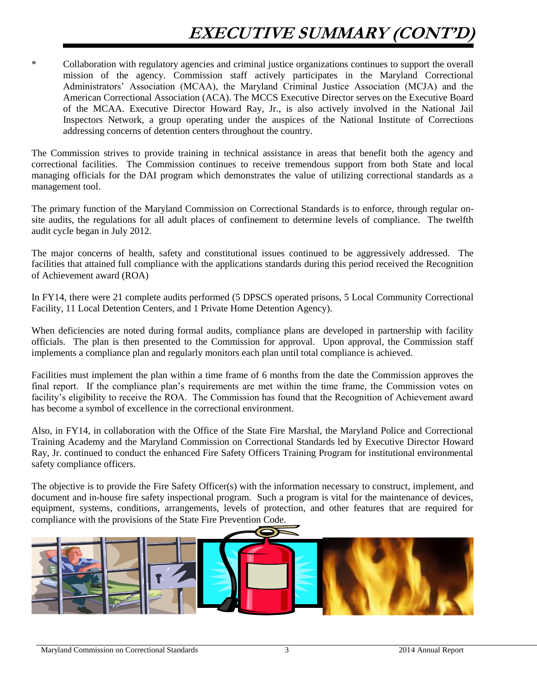# **EXECUTIVE SUMMARY (CONT'D)**

\* Collaboration with regulatory agencies and criminal justice organizations continues to support the overall mission of the agency. Commission staff actively participates in the Maryland Correctional Administrators' Association (MCAA), the Maryland Criminal Justice Association (MCJA) and the American Correctional Association (ACA). The MCCS Executive Director serves on the Executive Board of the MCAA. Executive Director Howard Ray, Jr., is also actively involved in the National Jail Inspectors Network, a group operating under the auspices of the National Institute of Corrections addressing concerns of detention centers throughout the country.

The Commission strives to provide training in technical assistance in areas that benefit both the agency and correctional facilities. The Commission continues to receive tremendous support from both State and local managing officials for the DAI program which demonstrates the value of utilizing correctional standards as a management tool.

The primary function of the Maryland Commission on Correctional Standards is to enforce, through regular onsite audits, the regulations for all adult places of confinement to determine levels of compliance. The twelfth audit cycle began in July 2012.

The major concerns of health, safety and constitutional issues continued to be aggressively addressed. The facilities that attained full compliance with the applications standards during this period received the Recognition of Achievement award (ROA)

In FY14, there were 21 complete audits performed (5 DPSCS operated prisons, 5 Local Community Correctional Facility, 11 Local Detention Centers, and 1 Private Home Detention Agency).

When deficiencies are noted during formal audits, compliance plans are developed in partnership with facility officials. The plan is then presented to the Commission for approval. Upon approval, the Commission staff implements a compliance plan and regularly monitors each plan until total compliance is achieved.

Facilities must implement the plan within a time frame of 6 months from the date the Commission approves the final report. If the compliance plan's requirements are met within the time frame, the Commission votes on facility's eligibility to receive the ROA. The Commission has found that the Recognition of Achievement award has become a symbol of excellence in the correctional environment.

Also, in FY14, in collaboration with the Office of the State Fire Marshal, the Maryland Police and Correctional Training Academy and the Maryland Commission on Correctional Standards led by Executive Director Howard Ray, Jr. continued to conduct the enhanced Fire Safety Officers Training Program for institutional environmental safety compliance officers.

The objective is to provide the Fire Safety Officer(s) with the information necessary to construct, implement, and document and in-house fire safety inspectional program. Such a program is vital for the maintenance of devices, equipment, systems, conditions, arrangements, levels of protection, and other features that are required for compliance with the provisions of the State Fire Prevention Code.

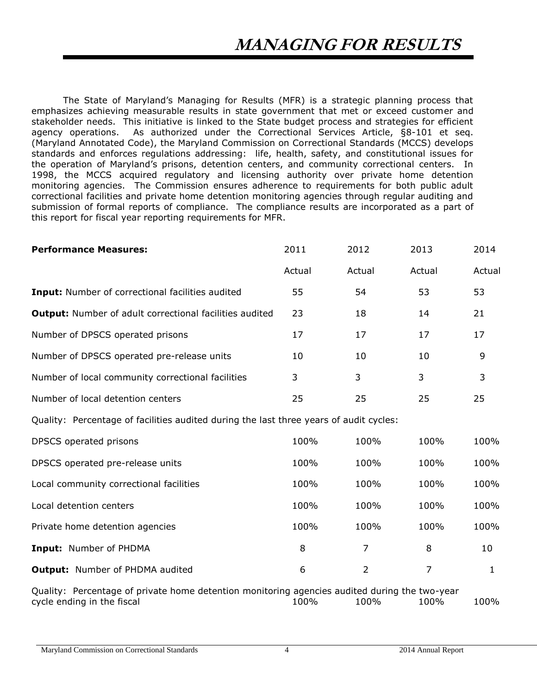The State of Maryland's Managing for Results (MFR) is a strategic planning process that emphasizes achieving measurable results in state government that met or exceed customer and stakeholder needs. This initiative is linked to the State budget process and strategies for efficient agency operations. As authorized under the Correctional Services Article, §8-101 et seq. (Maryland Annotated Code), the Maryland Commission on Correctional Standards (MCCS) develops standards and enforces regulations addressing: life, health, safety, and constitutional issues for the operation of Maryland's prisons, detention centers, and community correctional centers. In 1998, the MCCS acquired regulatory and licensing authority over private home detention monitoring agencies. The Commission ensures adherence to requirements for both public adult correctional facilities and private home detention monitoring agencies through regular auditing and submission of formal reports of compliance. The compliance results are incorporated as a part of this report for fiscal year reporting requirements for MFR.

| <b>Performance Measures:</b>                                                                                                | 2011   | 2012           | 2013           | 2014         |
|-----------------------------------------------------------------------------------------------------------------------------|--------|----------------|----------------|--------------|
|                                                                                                                             | Actual | Actual         | Actual         | Actual       |
| <b>Input:</b> Number of correctional facilities audited                                                                     | 55     | 54             | 53             | 53           |
| <b>Output:</b> Number of adult correctional facilities audited                                                              | 23     | 18             | 14             | 21           |
| Number of DPSCS operated prisons                                                                                            | 17     | 17             | 17             | 17           |
| Number of DPSCS operated pre-release units                                                                                  | 10     | 10             | 10             | 9            |
| Number of local community correctional facilities                                                                           | 3      | 3              | 3              | 3            |
| Number of local detention centers                                                                                           | 25     | 25             | 25             | 25           |
| Quality: Percentage of facilities audited during the last three years of audit cycles:                                      |        |                |                |              |
| DPSCS operated prisons                                                                                                      | 100%   | 100%           | 100%           | 100%         |
| DPSCS operated pre-release units                                                                                            | 100%   | 100%           | 100%           | 100%         |
| Local community correctional facilities                                                                                     | 100%   | 100%           | 100%           | 100%         |
| Local detention centers                                                                                                     | 100%   | 100%           | 100%           | 100%         |
| Private home detention agencies                                                                                             | 100%   | 100%           | 100%           | 100%         |
| Input: Number of PHDMA                                                                                                      | 8      | $\overline{7}$ | 8              | 10           |
| <b>Output:</b> Number of PHDMA audited                                                                                      | 6      | $\overline{2}$ | $\overline{7}$ | $\mathbf{1}$ |
| Quality: Percentage of private home detention monitoring agencies audited during the two-year<br>cycle ending in the fiscal | 100%   | 100%           | 100%           | 100%         |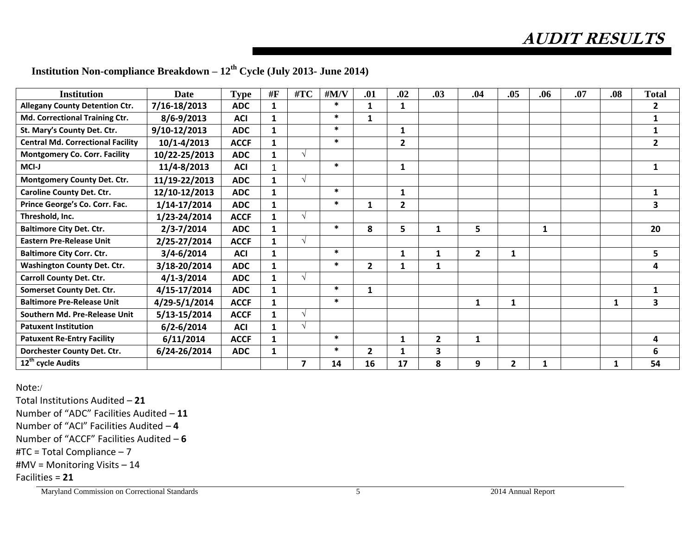**AUDIT RESULTS**

| <b>Institution</b>                       | <b>Date</b>     | <b>Type</b> | #F           | #TC                     | $\#M/V$ | .01            | .02            | .03            | .04          | .05          | .06 | .07 | .08          | <b>Total</b>   |
|------------------------------------------|-----------------|-------------|--------------|-------------------------|---------|----------------|----------------|----------------|--------------|--------------|-----|-----|--------------|----------------|
| <b>Allegany County Detention Ctr.</b>    | 7/16-18/2013    | <b>ADC</b>  | $\mathbf{1}$ |                         | $\ast$  | 1              | 1              |                |              |              |     |     |              | $\mathbf{2}$   |
| Md. Correctional Training Ctr.           | $8/6 - 9/2013$  | <b>ACI</b>  | $\mathbf{1}$ |                         | $\ast$  | $\mathbf{1}$   |                |                |              |              |     |     |              | $\mathbf{1}$   |
| St. Mary's County Det. Ctr.              | 9/10-12/2013    | <b>ADC</b>  | $\mathbf{1}$ |                         | $\ast$  |                | 1              |                |              |              |     |     |              |                |
| <b>Central Md. Correctional Facility</b> | $10/1 - 4/2013$ | <b>ACCF</b> | $\mathbf{1}$ |                         | $\ast$  |                | $\overline{2}$ |                |              |              |     |     |              | $\overline{2}$ |
| <b>Montgomery Co. Corr. Facility</b>     | 10/22-25/2013   | <b>ADC</b>  | 1            | $\sqrt{ }$              |         |                |                |                |              |              |     |     |              |                |
| MCI-J                                    | 11/4-8/2013     | <b>ACI</b>  |              |                         | $\ast$  |                | $\mathbf{1}$   |                |              |              |     |     |              | $\mathbf{1}$   |
| Montgomery County Det. Ctr.              | 11/19-22/2013   | <b>ADC</b>  | $\mathbf{1}$ | $\sqrt{ }$              |         |                |                |                |              |              |     |     |              |                |
| <b>Caroline County Det. Ctr.</b>         | 12/10-12/2013   | <b>ADC</b>  | 1            |                         | $\ast$  |                | 1              |                |              |              |     |     |              | $\mathbf{1}$   |
| Prince George's Co. Corr. Fac.           | 1/14-17/2014    | <b>ADC</b>  | $\mathbf{1}$ |                         | $\ast$  | 1              | $\overline{2}$ |                |              |              |     |     |              | 3              |
| Threshold, Inc.                          | 1/23-24/2014    | <b>ACCF</b> | $\mathbf{1}$ | $\sqrt{ }$              |         |                |                |                |              |              |     |     |              |                |
| <b>Baltimore City Det. Ctr.</b>          | $2/3 - 7/2014$  | <b>ADC</b>  | 1            |                         | $\ast$  | 8              | 5              | 1              | 5            |              | 1   |     |              | 20             |
| <b>Eastern Pre-Release Unit</b>          | 2/25-27/2014    | <b>ACCF</b> | $\mathbf{1}$ | $\sqrt{ }$              |         |                |                |                |              |              |     |     |              |                |
| <b>Baltimore City Corr. Ctr.</b>         | $3/4 - 6/2014$  | <b>ACI</b>  | $\mathbf{1}$ |                         | $\ast$  |                | $\mathbf{1}$   | 1              | $\mathbf{2}$ | $\mathbf{1}$ |     |     |              | 5              |
| <b>Washington County Det. Ctr.</b>       | 3/18-20/2014    | <b>ADC</b>  | $\mathbf{1}$ |                         | $\ast$  | $\overline{2}$ |                | $\mathbf{1}$   |              |              |     |     |              | 4              |
| <b>Carroll County Det. Ctr.</b>          | $4/1 - 3/2014$  | <b>ADC</b>  | $\mathbf{1}$ | $\sqrt{ }$              |         |                |                |                |              |              |     |     |              |                |
| <b>Somerset County Det. Ctr.</b>         | 4/15-17/2014    | <b>ADC</b>  | $\mathbf{1}$ |                         | $\ast$  | $\mathbf{1}$   |                |                |              |              |     |     |              | $\mathbf{1}$   |
| <b>Baltimore Pre-Release Unit</b>        | 4/29-5/1/2014   | <b>ACCF</b> |              |                         | $\ast$  |                |                |                | $\mathbf{1}$ | $\mathbf{1}$ |     |     | $\mathbf{1}$ | 3              |
| Southern Md. Pre-Release Unit            | 5/13-15/2014    | <b>ACCF</b> | 1            | $\sqrt{ }$              |         |                |                |                |              |              |     |     |              |                |
| <b>Patuxent Institution</b>              | $6/2 - 6/2014$  | <b>ACI</b>  | $\mathbf{1}$ | $\sqrt{ }$              |         |                |                |                |              |              |     |     |              |                |
| <b>Patuxent Re-Entry Facility</b>        | 6/11/2014       | <b>ACCF</b> | $\mathbf{1}$ |                         | $\ast$  |                | $\mathbf{1}$   | $\overline{2}$ | $\mathbf{1}$ |              |     |     |              | 4              |
| Dorchester County Det. Ctr.              | 6/24-26/2014    | <b>ADC</b>  | 1            |                         | $\ast$  | $\overline{2}$ |                | 3              |              |              |     |     |              | 6              |
| 12 <sup>th</sup> cycle Audits            |                 |             |              | $\overline{\mathbf{z}}$ | 14      | 16             | 17             | 8              | 9            | $\mathbf{2}$ |     |     | 1            | 54             |

# **Institution Non-compliance Breakdown – 12th Cycle (July 2013- June 2014)**

Note:/

Total Institutions Audited – **21** Number of "ADC" Facilities Audited – **11** Number of "ACI" Facilities Audited – **4** Number of "ACCF" Facilities Audited – **6** #TC = Total Compliance – 7 #MV = Monitoring Visits – 14 Facilities = **21**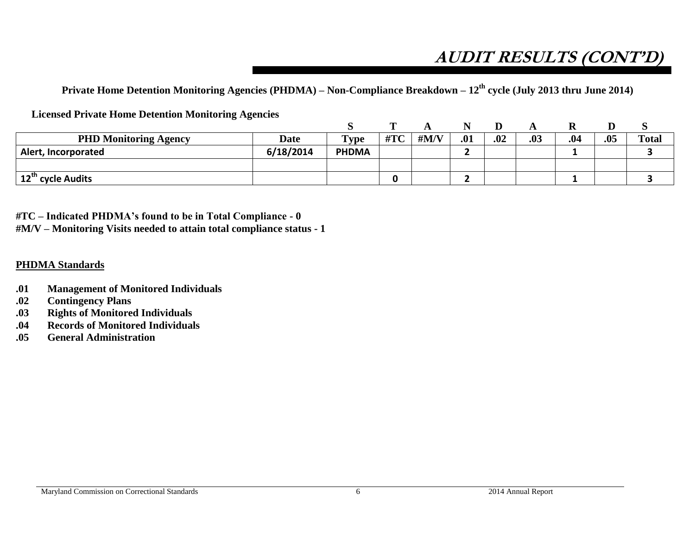# **AUDIT RESULTS (CONT'D)**

**Private Home Detention Monitoring Agencies (PHDMA) – Non-Compliance Breakdown – 12th cycle (July 2013 thru June 2014)**

**Licensed Private Home Detention Monitoring Agencies**

|                               |             |              | m   |                           |     |     |     |     |     |              |
|-------------------------------|-------------|--------------|-----|---------------------------|-----|-----|-----|-----|-----|--------------|
| <b>PHD Monitoring Agency</b>  | <b>Date</b> | <b>Type</b>  | #TC | $\#\mathbf{M}/\mathbf{V}$ | .01 | .02 | .03 | .04 | .05 | <b>Total</b> |
| <b>Alert, Incorporated</b>    | 6/18/2014   | <b>PHDMA</b> |     |                           |     |     |     |     |     |              |
|                               |             |              |     |                           |     |     |     |     |     |              |
| 12 <sup>th</sup> cycle Audits |             |              |     |                           |     |     |     | -   |     |              |

**#TC – Indicated PHDMA's found to be in Total Compliance - 0 #M/V – Monitoring Visits needed to attain total compliance status - 1**

## **PHDMA Standards**

- **.01 Management of Monitored Individuals**
- **.02 Contingency Plans**
- **.03 Rights of Monitored Individuals**
- **.04 Records of Monitored Individuals**
- **.05 General Administration**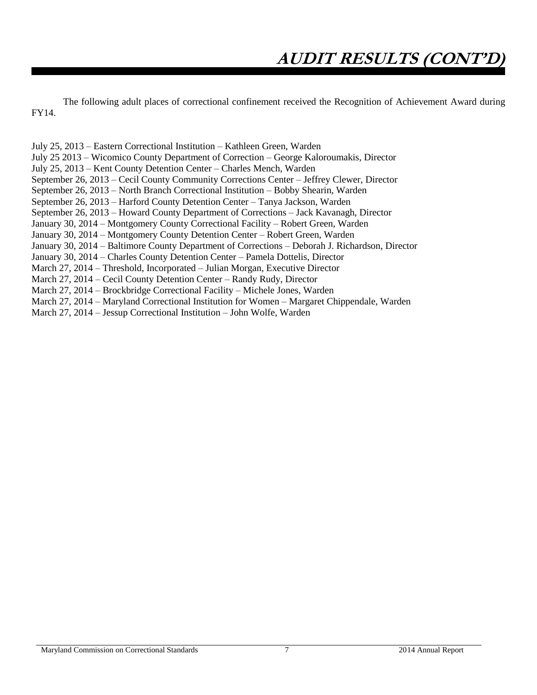The following adult places of correctional confinement received the Recognition of Achievement Award during FY14.

July 25, 2013 – Eastern Correctional Institution – Kathleen Green, Warden July 25 2013 – Wicomico County Department of Correction – George Kaloroumakis, Director July 25, 2013 – Kent County Detention Center – Charles Mench, Warden September 26, 2013 – Cecil County Community Corrections Center – Jeffrey Clewer, Director September 26, 2013 – North Branch Correctional Institution – Bobby Shearin, Warden September 26, 2013 – Harford County Detention Center – Tanya Jackson, Warden September 26, 2013 – Howard County Department of Corrections – Jack Kavanagh, Director January 30, 2014 – Montgomery County Correctional Facility – Robert Green, Warden January 30, 2014 – Montgomery County Detention Center – Robert Green, Warden January 30, 2014 – Baltimore County Department of Corrections – Deborah J. Richardson, Director January 30, 2014 – Charles County Detention Center – Pamela Dottelis, Director March 27, 2014 – Threshold, Incorporated – Julian Morgan, Executive Director March 27, 2014 – Cecil County Detention Center – Randy Rudy, Director March 27, 2014 – Brockbridge Correctional Facility – Michele Jones, Warden March 27, 2014 – Maryland Correctional Institution for Women – Margaret Chippendale, Warden March 27, 2014 – Jessup Correctional Institution – John Wolfe, Warden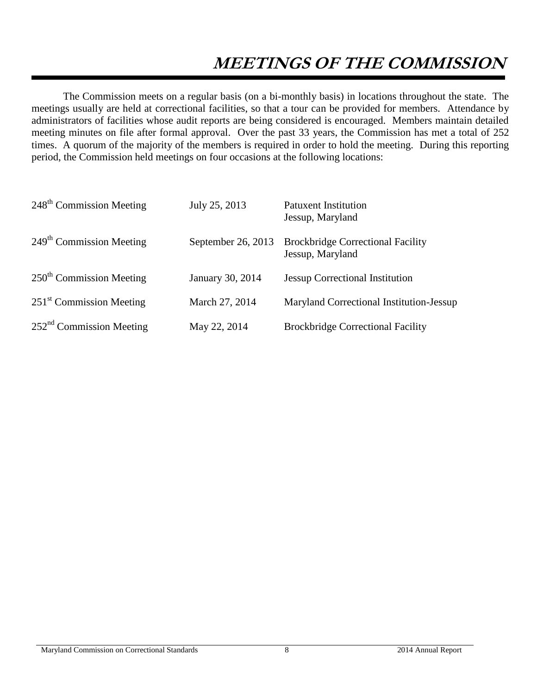# **MEETINGS OF THE COMMISSION**

The Commission meets on a regular basis (on a bi-monthly basis) in locations throughout the state. The meetings usually are held at correctional facilities, so that a tour can be provided for members. Attendance by administrators of facilities whose audit reports are being considered is encouraged. Members maintain detailed meeting minutes on file after formal approval. Over the past 33 years, the Commission has met a total of 252 times. A quorum of the majority of the members is required in order to hold the meeting. During this reporting period, the Commission held meetings on four occasions at the following locations:

| 248 <sup>th</sup> Commission Meeting | July 25, 2013      | <b>Patuxent Institution</b><br>Jessup, Maryland              |
|--------------------------------------|--------------------|--------------------------------------------------------------|
| $249th$ Commission Meeting           | September 26, 2013 | <b>Brockbridge Correctional Facility</b><br>Jessup, Maryland |
| $250th$ Commission Meeting           | January 30, 2014   | <b>Jessup Correctional Institution</b>                       |
| $251st$ Commission Meeting           | March 27, 2014     | Maryland Correctional Institution-Jessup                     |
| $252nd$ Commission Meeting           | May 22, 2014       | <b>Brockbridge Correctional Facility</b>                     |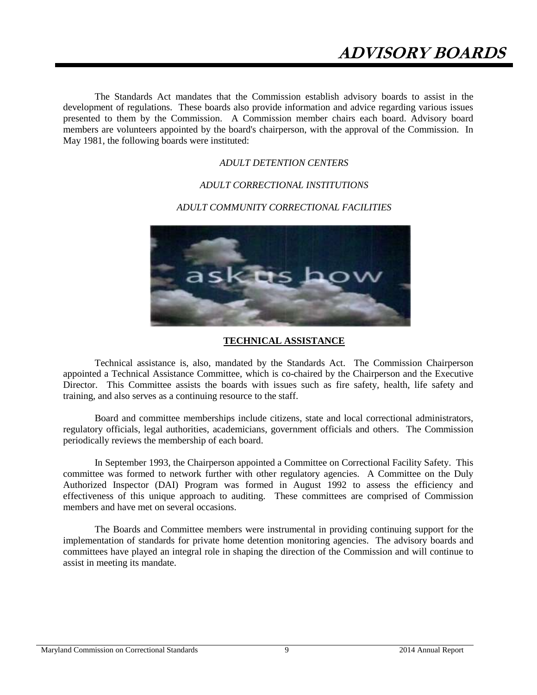The Standards Act mandates that the Commission establish advisory boards to assist in the development of regulations. These boards also provide information and advice regarding various issues presented to them by the Commission. A Commission member chairs each board. Advisory board members are volunteers appointed by the board's chairperson, with the approval of the Commission. In May 1981, the following boards were instituted:

#### *ADULT DETENTION CENTERS*

#### *ADULT CORRECTIONAL INSTITUTIONS*

#### *ADULT COMMUNITY CORRECTIONAL FACILITIES*



#### **TECHNICAL ASSISTANCE**

Technical assistance is, also, mandated by the Standards Act. The Commission Chairperson appointed a Technical Assistance Committee, which is co-chaired by the Chairperson and the Executive Director. This Committee assists the boards with issues such as fire safety, health, life safety and training, and also serves as a continuing resource to the staff.

Board and committee memberships include citizens, state and local correctional administrators, regulatory officials, legal authorities, academicians, government officials and others. The Commission periodically reviews the membership of each board.

In September 1993, the Chairperson appointed a Committee on Correctional Facility Safety. This committee was formed to network further with other regulatory agencies. A Committee on the Duly Authorized Inspector (DAI) Program was formed in August 1992 to assess the efficiency and effectiveness of this unique approach to auditing. These committees are comprised of Commission members and have met on several occasions.

The Boards and Committee members were instrumental in providing continuing support for the implementation of standards for private home detention monitoring agencies. The advisory boards and committees have played an integral role in shaping the direction of the Commission and will continue to assist in meeting its mandate.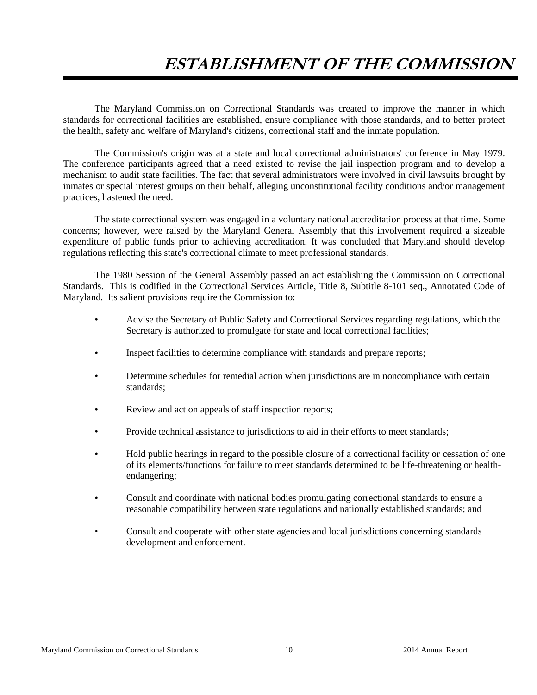# **ESTABLISHMENT OF THE COMMISSION**

The Maryland Commission on Correctional Standards was created to improve the manner in which standards for correctional facilities are established, ensure compliance with those standards, and to better protect the health, safety and welfare of Maryland's citizens, correctional staff and the inmate population.

The Commission's origin was at a state and local correctional administrators' conference in May 1979. The conference participants agreed that a need existed to revise the jail inspection program and to develop a mechanism to audit state facilities. The fact that several administrators were involved in civil lawsuits brought by inmates or special interest groups on their behalf, alleging unconstitutional facility conditions and/or management practices, hastened the need.

The state correctional system was engaged in a voluntary national accreditation process at that time. Some concerns; however, were raised by the Maryland General Assembly that this involvement required a sizeable expenditure of public funds prior to achieving accreditation. It was concluded that Maryland should develop regulations reflecting this state's correctional climate to meet professional standards.

The 1980 Session of the General Assembly passed an act establishing the Commission on Correctional Standards. This is codified in the Correctional Services Article, Title 8, Subtitle 8-101 seq., Annotated Code of Maryland. Its salient provisions require the Commission to:

- Advise the Secretary of Public Safety and Correctional Services regarding regulations, which the Secretary is authorized to promulgate for state and local correctional facilities;
- Inspect facilities to determine compliance with standards and prepare reports;
- Determine schedules for remedial action when jurisdictions are in noncompliance with certain standards;
- Review and act on appeals of staff inspection reports;
- Provide technical assistance to jurisdictions to aid in their efforts to meet standards;
- Hold public hearings in regard to the possible closure of a correctional facility or cessation of one of its elements/functions for failure to meet standards determined to be life-threatening or healthendangering;
- Consult and coordinate with national bodies promulgating correctional standards to ensure a reasonable compatibility between state regulations and nationally established standards; and
- Consult and cooperate with other state agencies and local jurisdictions concerning standards development and enforcement.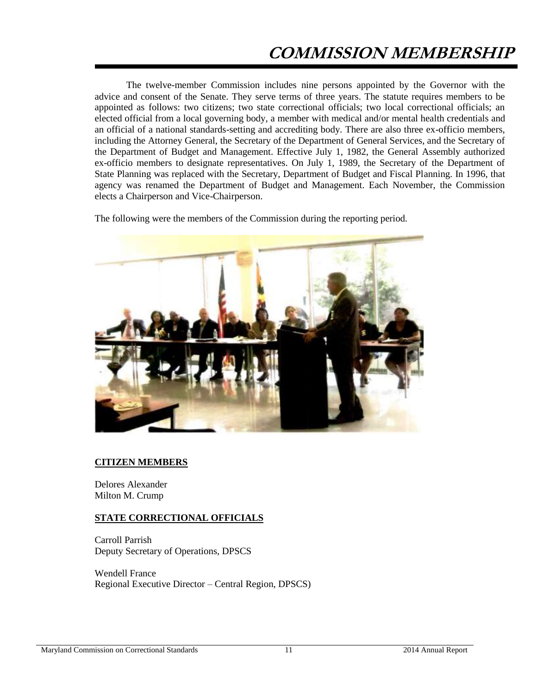# **COMMISSION MEMBERSHIP**

The twelve-member Commission includes nine persons appointed by the Governor with the advice and consent of the Senate. They serve terms of three years. The statute requires members to be appointed as follows: two citizens; two state correctional officials; two local correctional officials; an elected official from a local governing body, a member with medical and/or mental health credentials and an official of a national standards-setting and accrediting body. There are also three ex-officio members, including the Attorney General, the Secretary of the Department of General Services, and the Secretary of the Department of Budget and Management. Effective July 1, 1982, the General Assembly authorized ex-officio members to designate representatives. On July 1, 1989, the Secretary of the Department of State Planning was replaced with the Secretary, Department of Budget and Fiscal Planning. In 1996, that agency was renamed the Department of Budget and Management. Each November, the Commission elects a Chairperson and Vice-Chairperson.

The following were the members of the Commission during the reporting period.



#### **CITIZEN MEMBERS**

Delores Alexander Milton M. Crump

#### **STATE CORRECTIONAL OFFICIALS**

Carroll Parrish Deputy Secretary of Operations, DPSCS

Wendell France Regional Executive Director – Central Region, DPSCS)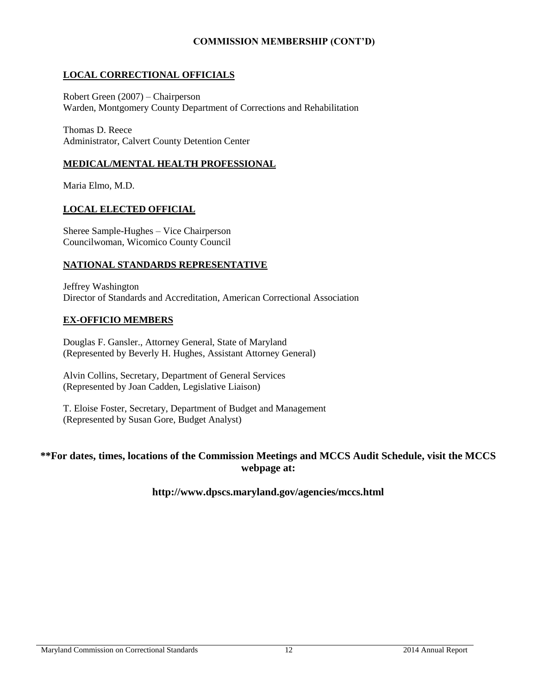### **COMMISSION MEMBERSHIP (CONT'D)**

### **LOCAL CORRECTIONAL OFFICIALS**

Robert Green (2007) – Chairperson Warden, Montgomery County Department of Corrections and Rehabilitation

Thomas D. Reece Administrator, Calvert County Detention Center

### **MEDICAL/MENTAL HEALTH PROFESSIONAL**

Maria Elmo, M.D.

### **LOCAL ELECTED OFFICIAL**

Sheree Sample-Hughes – Vice Chairperson Councilwoman, Wicomico County Council

#### **NATIONAL STANDARDS REPRESENTATIVE**

Jeffrey Washington Director of Standards and Accreditation, American Correctional Association

#### **EX-OFFICIO MEMBERS**

Douglas F. Gansler., Attorney General, State of Maryland (Represented by Beverly H. Hughes, Assistant Attorney General)

Alvin Collins, Secretary, Department of General Services (Represented by Joan Cadden, Legislative Liaison)

T. Eloise Foster, Secretary, Department of Budget and Management (Represented by Susan Gore, Budget Analyst)

### **\*\*For dates, times, locations of the Commission Meetings and MCCS Audit Schedule, visit the MCCS webpage at:**

### **http://www.dpscs.maryland.gov/agencies/mccs.html**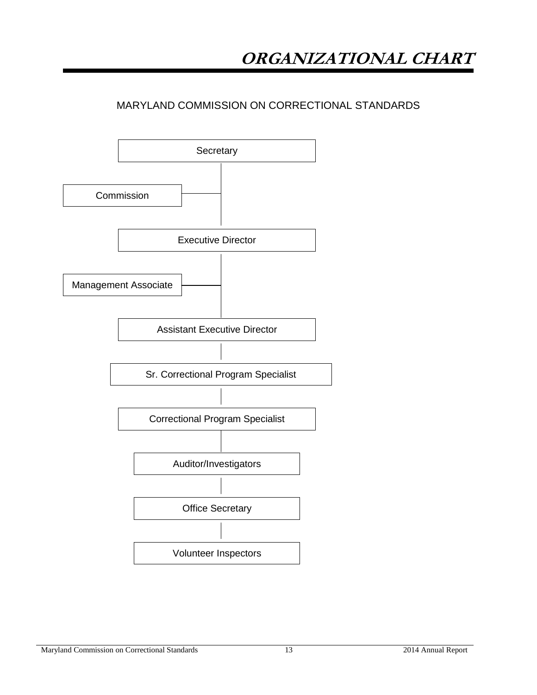## MARYLAND COMMISSION ON CORRECTIONAL STANDARDS

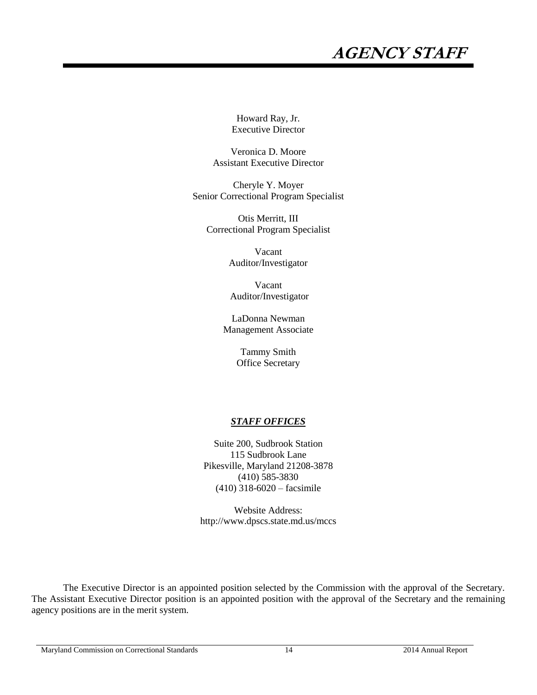# **AGENCY STAFF**

Howard Ray, Jr. Executive Director

Veronica D. Moore Assistant Executive Director

Cheryle Y. Moyer Senior Correctional Program Specialist

Otis Merritt, III Correctional Program Specialist

> Vacant Auditor/Investigator

Vacant Auditor/Investigator

LaDonna Newman Management Associate

> Tammy Smith Office Secretary

#### *STAFF OFFICES*

Suite 200, Sudbrook Station 115 Sudbrook Lane Pikesville, Maryland 21208-3878 (410) 585-3830 (410) 318-6020 – facsimile

Website Address: http://www.dpscs.state.md.us/mccs

The Executive Director is an appointed position selected by the Commission with the approval of the Secretary. The Assistant Executive Director position is an appointed position with the approval of the Secretary and the remaining agency positions are in the merit system.